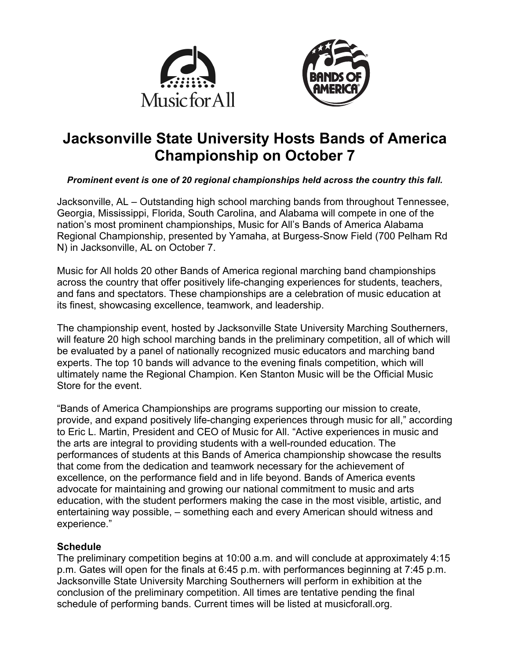



# **Jacksonville State University Hosts Bands of America Championship on October 7**

### *Prominent event is one of 20 regional championships held across the country this fall.*

Jacksonville, AL – Outstanding high school marching bands from throughout Tennessee, Georgia, Mississippi, Florida, South Carolina, and Alabama will compete in one of the nation's most prominent championships, Music for All's Bands of America Alabama Regional Championship, presented by Yamaha, at Burgess-Snow Field (700 Pelham Rd N) in Jacksonville, AL on October 7.

Music for All holds 20 other Bands of America regional marching band championships across the country that offer positively life-changing experiences for students, teachers, and fans and spectators. These championships are a celebration of music education at its finest, showcasing excellence, teamwork, and leadership.

The championship event, hosted by Jacksonville State University Marching Southerners, will feature 20 high school marching bands in the preliminary competition, all of which will be evaluated by a panel of nationally recognized music educators and marching band experts. The top 10 bands will advance to the evening finals competition, which will ultimately name the Regional Champion. Ken Stanton Music will be the Official Music Store for the event.

"Bands of America Championships are programs supporting our mission to create, provide, and expand positively life-changing experiences through music for all," according to Eric L. Martin, President and CEO of Music for All. "Active experiences in music and the arts are integral to providing students with a well-rounded education. The performances of students at this Bands of America championship showcase the results that come from the dedication and teamwork necessary for the achievement of excellence, on the performance field and in life beyond. Bands of America events advocate for maintaining and growing our national commitment to music and arts education, with the student performers making the case in the most visible, artistic, and entertaining way possible, – something each and every American should witness and experience."

## **Schedule**

The preliminary competition begins at 10:00 a.m. and will conclude at approximately 4:15 p.m. Gates will open for the finals at 6:45 p.m. with performances beginning at 7:45 p.m. Jacksonville State University Marching Southerners will perform in exhibition at the conclusion of the preliminary competition. All times are tentative pending the final schedule of performing bands. Current times will be listed at musicforall.org.